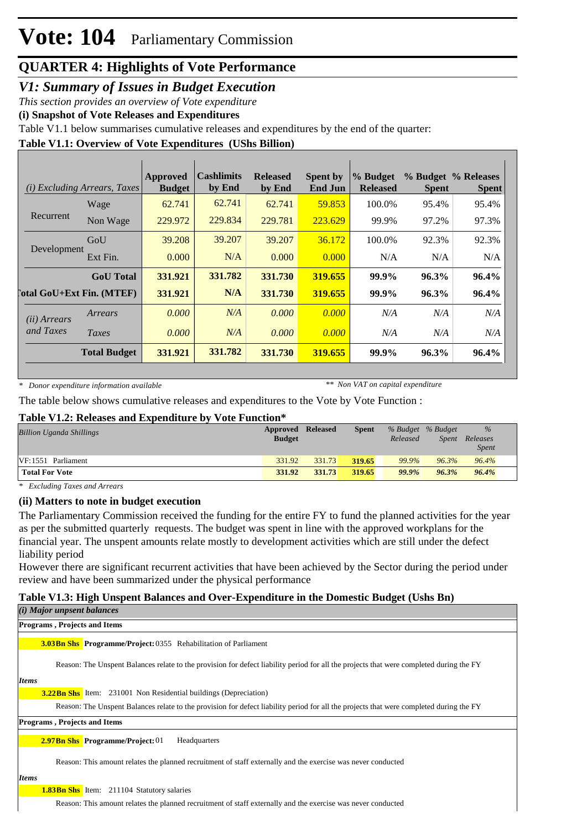## **QUARTER 4: Highlights of Vote Performance**

## *V1: Summary of Issues in Budget Execution*

*This section provides an overview of Vote expenditure*

**(i) Snapshot of Vote Releases and Expenditures**

Table V1.1 below summarises cumulative releases and expenditures by the end of the quarter:

### **Table V1.1: Overview of Vote Expenditures (UShs Billion)**

| (i)                   | <i>Excluding Arrears, Taxes</i>  | Approved<br><b>Budget</b> | <b>Cashlimits</b><br>by End | <b>Released</b><br>by End | <b>Spent by</b><br><b>End Jun</b> | % Budget<br><b>Released</b> | <b>Spent</b> | % Budget % Releases<br><b>Spent</b> |
|-----------------------|----------------------------------|---------------------------|-----------------------------|---------------------------|-----------------------------------|-----------------------------|--------------|-------------------------------------|
|                       | Wage                             | 62.741                    | 62.741                      | 62.741                    | 59.853                            | 100.0%                      | 95.4%        | 95.4%                               |
| Recurrent             | Non Wage                         | 229.972                   | 229.834                     | 229.781                   | 223.629                           | 99.9%                       | 97.2%        | 97.3%                               |
|                       | GoU                              | 39.208                    | 39.207                      | 39.207                    | 36.172                            | 100.0%                      | 92.3%        | 92.3%                               |
| Development           | Ext Fin.                         | 0.000                     | N/A                         | 0.000                     | 0.000                             | N/A                         | N/A          | N/A                                 |
|                       | <b>GoU</b> Total                 | 331.921                   | 331.782                     | 331.730                   | 319.655                           | 99.9%                       | 96.3%        | $96.4\%$                            |
|                       | <b>Total GoU+Ext Fin. (MTEF)</b> | 331.921                   | N/A                         | 331.730                   | 319.655                           | 99.9%                       | 96.3%        | 96.4%                               |
| ( <i>ii</i> ) Arrears | Arrears                          | 0.000                     | N/A                         | 0.000                     | 0.000                             | N/A                         | N/A          | N/A                                 |
| and Taxes             | Taxes                            | 0.000                     | N/A                         | 0.000                     | 0.000                             | N/A                         | N/A          | N/A                                 |
|                       | <b>Total Budget</b>              | 331.921                   | 331.782                     | 331.730                   | 319.655                           | 99.9%                       | 96.3%        | 96.4%                               |

*\* Donor expenditure information available*

*\*\* Non VAT on capital expenditure*

The table below shows cumulative releases and expenditures to the Vote by Vote Function :

#### **Table V1.2: Releases and Expenditure by Vote Function\***

| <b>Billion Uganda Shillings</b> | Approved Released<br><b>Budget</b> |        | Spent  | Released | % Budget % Budget<br>Spent | $\frac{9}{6}$<br>Releases |
|---------------------------------|------------------------------------|--------|--------|----------|----------------------------|---------------------------|
| VF:1551 Parliament              | 331.92                             | 331.73 | 319.65 | 99.9%    | 96.3%                      | <i>Spent</i><br>96.4%     |
| <b>Total For Vote</b>           | 331.92                             | 331.73 | 319.65 | 99.9%    | 96.3%                      | 96.4%                     |

*\* Excluding Taxes and Arrears*

#### **(ii) Matters to note in budget execution**

The Parliamentary Commission received the funding for the entire FY to fund the planned activities for the year as per the submitted quarterly requests. The budget was spent in line with the approved workplans for the financial year. The unspent amounts relate mostly to development activities which are still under the defect liability period

However there are significant recurrent activities that have been achieved by the Sector during the period under review and have been summarized under the physical performance

#### **Table V1.3: High Unspent Balances and Over-Expenditure in the Domestic Budget (Ushs Bn)** *(i) Major unpsent balances*

| <b>Programs, Projects and Items</b>                                                                                                     |
|-----------------------------------------------------------------------------------------------------------------------------------------|
| <b>3.03Bn Shs</b> Programme/Project: 0355 Rehabilitation of Parliament                                                                  |
| Reason: The Unspent Balances relate to the provision for defect liability period for all the projects that were completed during the FY |
| <b>Items</b>                                                                                                                            |
| <b>3.22 Bn Shs</b> Item: 231001 Non Residential buildings (Depreciation)                                                                |
| Reason: The Unspent Balances relate to the provision for defect liability period for all the projects that were completed during the FY |
| <b>Programs, Projects and Items</b>                                                                                                     |
| <b>2.97Bn Shs</b> Programme/Project: 01<br>Headquarters                                                                                 |
| Reason: This amount relates the planned recruitment of staff externally and the exercise was never conducted                            |
| <b>Items</b>                                                                                                                            |
| <b>1.83Bn Shs</b> Item: 211104 Statutory salaries                                                                                       |

Reason: This amount relates the planned recruitment of staff externally and the exercise was never conducted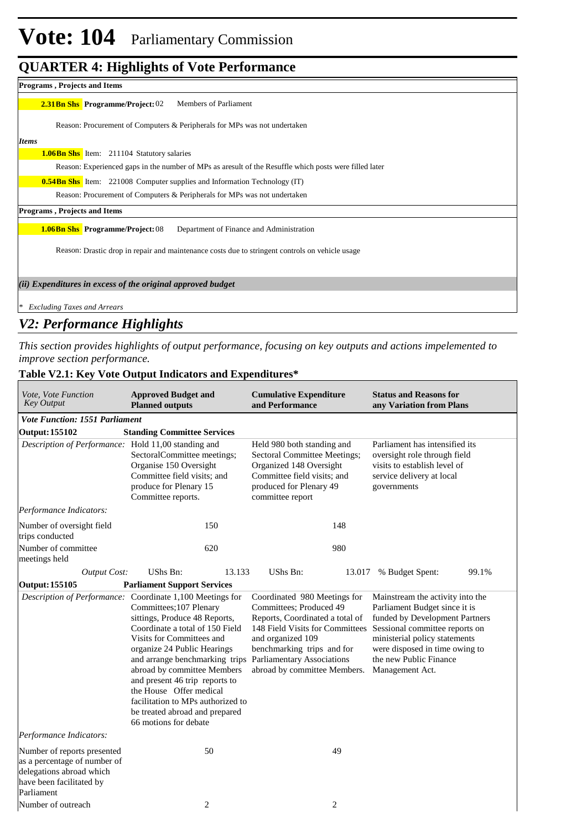# **Vote: 104** Parliamentary Commission

## **QUARTER 4: Highlights of Vote Performance**

| <b>Programs, Projects and Items</b>                                                                     |
|---------------------------------------------------------------------------------------------------------|
| <b>2.31 Bn Shs</b> Programme/Project: 02<br><b>Members of Parliament</b>                                |
| Reason: Procurement of Computers & Peripherals for MPs was not undertaken                               |
| <b>Items</b>                                                                                            |
| <b>1.06Bn Shs</b> Item: 211104 Statutory salaries                                                       |
| Reason: Experienced gaps in the number of MPs as are sult of the Resuffle which posts were filled later |
| <b>0.54Bn Shs</b> Item: 221008 Computer supplies and Information Technology (IT)                        |
| Reason: Procurement of Computers & Peripherals for MPs was not undertaken                               |
| <b>Programs, Projects and Items</b>                                                                     |
| Department of Finance and Administration<br><b>1.06Bn Shs</b> Programme/Project: 08                     |
| Reason: Drastic drop in repair and maintenance costs due to stringent controls on vehicle usage         |
| (ii) Expenditures in excess of the original approved budget                                             |
| <b>Excluding Taxes and Arrears</b>                                                                      |

## *V2: Performance Highlights*

*This section provides highlights of output performance, focusing on key outputs and actions impelemented to improve section performance.*

 $\overline{\phantom{a}}$ 

## **Table V2.1: Key Vote Output Indicators and Expenditures\***

| Vote, Vote Function<br><b>Key Output</b>                                                                                          | <b>Approved Budget and</b><br><b>Planned outputs</b>                                                                                                                                                                                                                                                                                                                                                                                              | <b>Cumulative Expenditure</b><br>and Performance                                                                                                                                                                 | <b>Status and Reasons for</b><br>any Variation from Plans                                                                                                                                                                                             |  |  |
|-----------------------------------------------------------------------------------------------------------------------------------|---------------------------------------------------------------------------------------------------------------------------------------------------------------------------------------------------------------------------------------------------------------------------------------------------------------------------------------------------------------------------------------------------------------------------------------------------|------------------------------------------------------------------------------------------------------------------------------------------------------------------------------------------------------------------|-------------------------------------------------------------------------------------------------------------------------------------------------------------------------------------------------------------------------------------------------------|--|--|
| <b>Vote Function: 1551 Parliament</b>                                                                                             |                                                                                                                                                                                                                                                                                                                                                                                                                                                   |                                                                                                                                                                                                                  |                                                                                                                                                                                                                                                       |  |  |
| <b>Output: 155102</b>                                                                                                             | <b>Standing Committee Services</b>                                                                                                                                                                                                                                                                                                                                                                                                                |                                                                                                                                                                                                                  |                                                                                                                                                                                                                                                       |  |  |
| Description of Performance: Hold 11,00 standing and                                                                               | SectoralCommittee meetings;<br>Organise 150 Oversight<br>Committee field visits; and<br>produce for Plenary 15<br>Committee reports.                                                                                                                                                                                                                                                                                                              | Held 980 both standing and<br>Sectoral Committee Meetings;<br>Organized 148 Oversight<br>Committee field visits; and<br>produced for Plenary 49<br>committee report                                              | Parliament has intensified its<br>oversight role through field<br>visits to establish level of<br>service delivery at local<br>governments                                                                                                            |  |  |
| Performance Indicators:                                                                                                           |                                                                                                                                                                                                                                                                                                                                                                                                                                                   |                                                                                                                                                                                                                  |                                                                                                                                                                                                                                                       |  |  |
| Number of oversight field<br>trips conducted                                                                                      | 150                                                                                                                                                                                                                                                                                                                                                                                                                                               | 148                                                                                                                                                                                                              |                                                                                                                                                                                                                                                       |  |  |
| Number of committee<br>meetings held                                                                                              | 620                                                                                                                                                                                                                                                                                                                                                                                                                                               | 980                                                                                                                                                                                                              |                                                                                                                                                                                                                                                       |  |  |
| <b>Output Cost:</b>                                                                                                               | <b>UShs Bn:</b><br>13.133                                                                                                                                                                                                                                                                                                                                                                                                                         | UShs Bn:<br>13.017                                                                                                                                                                                               | % Budget Spent:<br>99.1%                                                                                                                                                                                                                              |  |  |
| <b>Output: 155105</b>                                                                                                             | <b>Parliament Support Services</b>                                                                                                                                                                                                                                                                                                                                                                                                                |                                                                                                                                                                                                                  |                                                                                                                                                                                                                                                       |  |  |
| Description of Performance:                                                                                                       | Coordinate 1,100 Meetings for<br>Committees; 107 Plenary<br>sittings, Produce 48 Reports,<br>Coordinate a total of 150 Field<br>Visits for Committees and<br>organize 24 Public Hearings<br>and arrange benchmarking trips Parliamentary Associations<br>abroad by committee Members<br>and present 46 trip reports to<br>the House Offer medical<br>facilitation to MPs authorized to<br>be treated abroad and prepared<br>66 motions for debate | Coordinated 980 Meetings for<br>Committees; Produced 49<br>Reports, Coordinated a total of<br>148 Field Visits for Committees<br>and organized 109<br>benchmarking trips and for<br>abroad by committee Members. | Mainstream the activity into the<br>Parliament Budget since it is<br>funded by Development Partners<br>Sessional committee reports on<br>ministerial policy statements<br>were disposed in time owing to<br>the new Public Finance<br>Management Act. |  |  |
| Performance Indicators:                                                                                                           |                                                                                                                                                                                                                                                                                                                                                                                                                                                   |                                                                                                                                                                                                                  |                                                                                                                                                                                                                                                       |  |  |
| Number of reports presented<br>as a percentage of number of<br>delegations abroad which<br>have been facilitated by<br>Parliament | 50                                                                                                                                                                                                                                                                                                                                                                                                                                                | 49                                                                                                                                                                                                               |                                                                                                                                                                                                                                                       |  |  |
| Number of outreach                                                                                                                | 2                                                                                                                                                                                                                                                                                                                                                                                                                                                 | 2                                                                                                                                                                                                                |                                                                                                                                                                                                                                                       |  |  |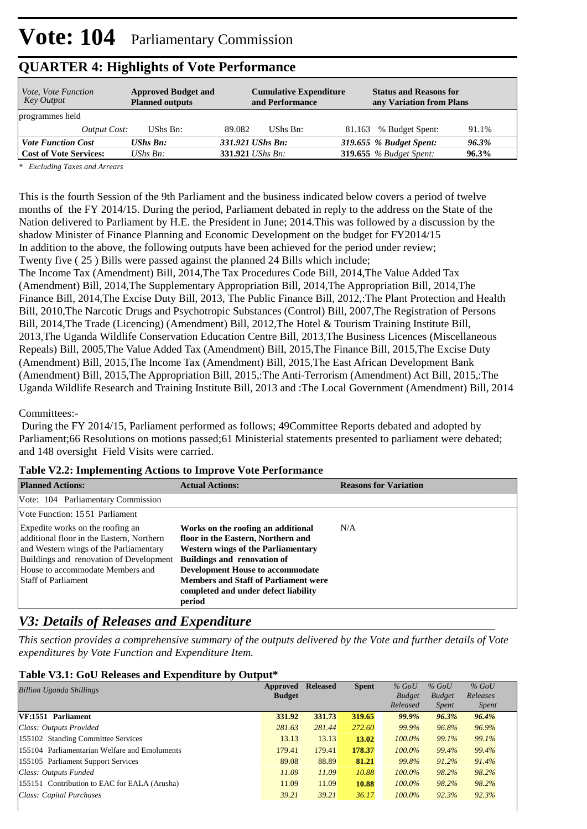| <i>Vote, Vote Function</i><br>Key Output | <b>Approved Budget and</b><br><b>Planned outputs</b> | <b>Cumulative Expenditure</b><br>and Performance | <b>Status and Reasons for</b><br>any Variation from Plans |
|------------------------------------------|------------------------------------------------------|--------------------------------------------------|-----------------------------------------------------------|
| programmes held                          |                                                      |                                                  |                                                           |
| <i>Output Cost:</i>                      | UShs Bn:                                             | UShs Bn:<br>89.082                               | 81.163 % Budget Spent:<br>91.1%                           |
| <b>Vote Function Cost</b>                | <b>UShs Bn:</b>                                      | 331.921 UShs Bn:                                 | 319.655 % Budget Spent:<br>96.3%                          |
| <b>Cost of Vote Services:</b>            | UShs $B_n$ :                                         | 331.921 <i>UShs Bn</i> :                         | <b>319.655</b> % Budget Spent:<br>96.3%                   |

## **QUARTER 4: Highlights of Vote Performance**

*\* Excluding Taxes and Arrears*

This is the fourth Session of the 9th Parliament and the business indicated below covers a period of twelve months of the FY 2014/15. During the period, Parliament debated in reply to the address on the State of the Nation delivered to Parliament by H.E. the President in June; 2014.This was followed by a discussion by the shadow Minister of Finance Planning and Economic Development on the budget for FY2014/15 In addition to the above, the following outputs have been achieved for the period under review; Twenty five ( 25 ) Bills were passed against the planned 24 Bills which include;

The Income Tax (Amendment) Bill, 2014, The Tax Procedures Code Bill, 2014, The Value Added Tax (Amendment) Bill, 2014, The Supplementary Appropriation Bill, 2014, The Appropriation Bill, 2014, The Finance Bill, 2014, The Excise Duty Bill, 2013, The Public Finance Bill, 2012, The Plant Protection and Health Bill, 2010, The Narcotic Drugs and Psychotropic Substances (Control) Bill, 2007, The Registration of Persons Bill, 2014, The Trade (Licencing) (Amendment) Bill, 2012, The Hotel & Tourism Training Institute Bill, 2013,The Uganda Wildlife Conservation Education Centre Bill, 2013,The Business Licences (Miscellaneous Repeals) Bill, 2005, The Value Added Tax (Amendment) Bill, 2015, The Finance Bill, 2015, The Excise Duty (Amendment) Bill, 2015, The Income Tax (Amendment) Bill, 2015, The East African Development Bank (Amendment) Bill, 2015, The Appropriation Bill, 2015,: The Anti-Terrorism (Amendment) Act Bill, 2015,: The Uganda Wildlife Research and Training Institute Bill, 2013 and :The Local Government (Amendment) Bill, 2014

Committees:-

 During the FY 2014/15, Parliament performed as follows; 49Committee Reports debated and adopted by Parliament;66 Resolutions on motions passed;61 Ministerial statements presented to parliament were debated; and 148 oversight Field Visits were carried.

| $\frac{1}{2}$ and $\frac{1}{2}$ and $\frac{1}{2}$ and $\frac{1}{2}$ are $\frac{1}{2}$ and $\frac{1}{2}$ and $\frac{1}{2}$ are $\frac{1}{2}$ and $\frac{1}{2}$ are $\frac{1}{2}$ and $\frac{1}{2}$ are $\frac{1}{2}$ and $\frac{1}{2}$ are $\frac{1}{2}$ and $\frac{1}{2}$ are $\frac{1}{2}$ a |                                                                                                                       |                              |
|-----------------------------------------------------------------------------------------------------------------------------------------------------------------------------------------------------------------------------------------------------------------------------------------------|-----------------------------------------------------------------------------------------------------------------------|------------------------------|
| <b>Planned Actions:</b>                                                                                                                                                                                                                                                                       | <b>Actual Actions:</b>                                                                                                | <b>Reasons for Variation</b> |
| Vote: 104 Parliamentary Commission                                                                                                                                                                                                                                                            |                                                                                                                       |                              |
| Vote Function: 1551 Parliament                                                                                                                                                                                                                                                                |                                                                                                                       |                              |
| Expedite works on the roofing an<br>additional floor in the Eastern, Northern<br>and Western wings of the Parliamentary                                                                                                                                                                       | Works on the roofing an additional<br>floor in the Eastern, Northern and<br><b>Western wings of the Parliamentary</b> | N/A                          |
| Buildings and renovation of Development                                                                                                                                                                                                                                                       | <b>Buildings and renovation of</b>                                                                                    |                              |
| House to accommodate Members and                                                                                                                                                                                                                                                              | <b>Development House to accommodate</b>                                                                               |                              |
| <b>Staff of Parliament</b>                                                                                                                                                                                                                                                                    | <b>Members and Staff of Parliament were</b><br>completed and under defect liability<br>period                         |                              |

#### **Table V2.2: Implementing Actions to Improve Vote Performance**

## *V3: Details of Releases and Expenditure*

*This section provides a comprehensive summary of the outputs delivered by the Vote and further details of Vote expenditures by Vote Function and Expenditure Item.*

#### **Table V3.1: GoU Releases and Expenditure by Output\***

| <b>Billion Uganda Shillings</b>               | Approved<br><b>Budget</b> | <b>Released</b> | <b>Spent</b> | $%$ GoU<br><b>Budget</b> | $%$ GoU<br><b>Budget</b> | $%$ GoU<br>Releases |
|-----------------------------------------------|---------------------------|-----------------|--------------|--------------------------|--------------------------|---------------------|
|                                               |                           |                 |              | Released                 | <i>Spent</i>             | <i>Spent</i>        |
| VF:1551 Parliament                            | 331.92                    | 331.73          | 319.65       | <b>99.9%</b>             | 96.3%                    | 96.4%               |
| Class: Outputs Provided                       | 281.63                    | 281.44          | 272.60       | 99.9%                    | 96.8%                    | 96.9%               |
| 155102 Standing Committee Services            | 13.13                     | 13.13           | 13.02        | $100.0\%$                | 99.1%                    | 99.1%               |
| 155104 Parliamentarian Welfare and Emoluments | 179.41                    | 179.41          | 178.37       | $100.0\%$                | 99.4%                    | 99.4%               |
| 155105 Parliament Support Services            | 89.08                     | 88.89           | 81.21        | 99.8%                    | 91.2%                    | 91.4%               |
| Class: Outputs Funded                         | 11.09                     | 11.09           | 10.88        | $100.0\%$                | 98.2%                    | 98.2%               |
| 155151 Contribution to EAC for EALA (Arusha)  | 11.09                     | 11.09           | 10.88        | $100.0\%$                | 98.2%                    | 98.2%               |
| Class: Capital Purchases                      | 39.21                     | 39.21           | 36.17        | $100.0\%$                | 92.3%                    | 92.3%               |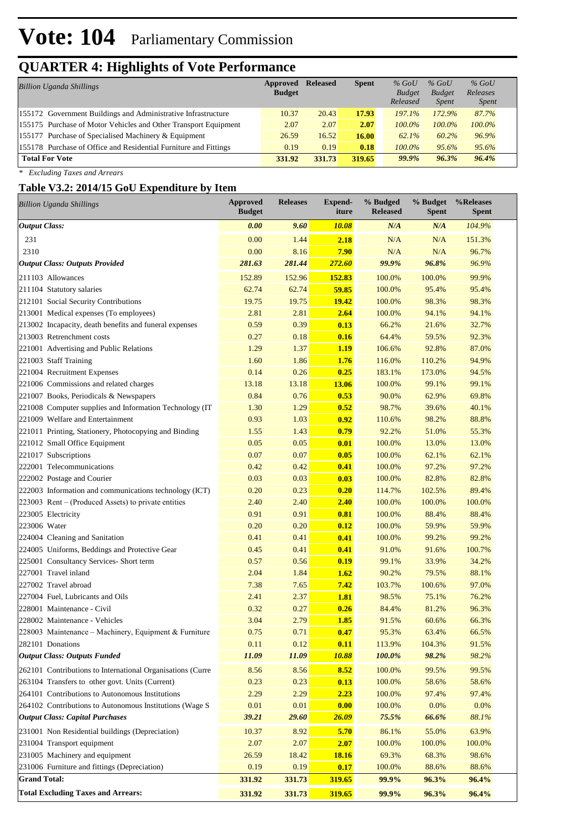# **Vote: 104** Parliamentary Commission

# **QUARTER 4: Highlights of Vote Performance**

| <b>Billion Uganda Shillings</b>                                  | Approved<br><b>Budget</b> | <b>Released</b> | <b>Spent</b> | $%$ GoU<br><b>Budget</b><br>Released | $%$ GoU<br><b>Budget</b><br><i>Spent</i> | $%$ GoU<br>Releases<br><i>Spent</i> |  |
|------------------------------------------------------------------|---------------------------|-----------------|--------------|--------------------------------------|------------------------------------------|-------------------------------------|--|
| 155172 Government Buildings and Administrative Infrastructure    | 10.37                     | 20.43           | 17.93        | 197.1%                               | 172.9%                                   | 87.7%                               |  |
| 155175 Purchase of Motor Vehicles and Other Transport Equipment  | 2.07                      | 2.07            | 2.07         | $100.0\%$                            | $100.0\%$                                | 100.0%                              |  |
| 155177 Purchase of Specialised Machinery & Equipment             | 26.59                     | 16.52           | 16.00        | 62.1%                                | 60.2%                                    | 96.9%                               |  |
| 155178 Purchase of Office and Residential Furniture and Fittings | 0.19                      | 0.19            | 0.18         | $100.0\%$                            | 95.6%                                    | 95.6%                               |  |
| <b>Total For Vote</b>                                            | 331.92                    | 331.73          | 319.65       | 99.9%                                | 96.3%                                    | 96.4%                               |  |

*\* Excluding Taxes and Arrears*

## **Table V3.2: 2014/15 GoU Expenditure by Item**

| <b>Billion Uganda Shillings</b>                            | <b>Approved</b><br><b>Budget</b> | <b>Releases</b> | <b>Expend-</b><br>iture | % Budged<br><b>Released</b> | % Budget<br><b>Spent</b> | %Releases<br><b>Spent</b> |
|------------------------------------------------------------|----------------------------------|-----------------|-------------------------|-----------------------------|--------------------------|---------------------------|
| <b>Output Class:</b>                                       | 0.00                             | 9.60            | <b>10.08</b>            | N/A                         | N/A                      | 104.9%                    |
| 231                                                        | 0.00                             | 1.44            | 2.18                    | N/A                         | N/A                      | 151.3%                    |
| 2310                                                       | 0.00                             | 8.16            | 7.90                    | N/A                         | N/A                      | 96.7%                     |
| <b>Output Class: Outputs Provided</b>                      | 281.63                           | 281.44          | 272.60                  | 99.9%                       | 96.8%                    | 96.9%                     |
| 211103 Allowances                                          | 152.89                           | 152.96          | 152.83                  | 100.0%                      | 100.0%                   | 99.9%                     |
| 211104 Statutory salaries                                  | 62.74                            | 62.74           | 59.85                   | 100.0%                      | 95.4%                    | 95.4%                     |
| 212101 Social Security Contributions                       | 19.75                            | 19.75           | 19.42                   | 100.0%                      | 98.3%                    | 98.3%                     |
| 213001 Medical expenses (To employees)                     | 2.81                             | 2.81            | 2.64                    | 100.0%                      | 94.1%                    | 94.1%                     |
| 213002 Incapacity, death benefits and funeral expenses     | 0.59                             | 0.39            | 0.13                    | 66.2%                       | 21.6%                    | 32.7%                     |
| 213003 Retrenchment costs                                  | 0.27                             | 0.18            | 0.16                    | 64.4%                       | 59.5%                    | 92.3%                     |
| 221001 Advertising and Public Relations                    | 1.29                             | 1.37            | 1.19                    | 106.6%                      | 92.8%                    | 87.0%                     |
| 221003 Staff Training                                      | 1.60                             | 1.86            | 1.76                    | 116.0%                      | 110.2%                   | 94.9%                     |
| 221004 Recruitment Expenses                                | 0.14                             | 0.26            | 0.25                    | 183.1%                      | 173.0%                   | 94.5%                     |
| 221006 Commissions and related charges                     | 13.18                            | 13.18           | 13.06                   | 100.0%                      | 99.1%                    | 99.1%                     |
| 221007 Books, Periodicals & Newspapers                     | 0.84                             | 0.76            | 0.53                    | 90.0%                       | 62.9%                    | 69.8%                     |
| 221008 Computer supplies and Information Technology (IT    | 1.30                             | 1.29            | 0.52                    | 98.7%                       | 39.6%                    | 40.1%                     |
| 221009 Welfare and Entertainment                           | 0.93                             | 1.03            | 0.92                    | 110.6%                      | 98.2%                    | 88.8%                     |
| 221011 Printing, Stationery, Photocopying and Binding      | 1.55                             | 1.43            | 0.79                    | 92.2%                       | 51.0%                    | 55.3%                     |
| 221012 Small Office Equipment                              | 0.05                             | 0.05            | 0.01                    | 100.0%                      | 13.0%                    | 13.0%                     |
| 221017 Subscriptions                                       | 0.07                             | 0.07            | 0.05                    | 100.0%                      | 62.1%                    | 62.1%                     |
| 222001 Telecommunications                                  | 0.42                             | 0.42            | 0.41                    | 100.0%                      | 97.2%                    | 97.2%                     |
| 222002 Postage and Courier                                 | 0.03                             | 0.03            | 0.03                    | 100.0%                      | 82.8%                    | 82.8%                     |
| 222003 Information and communications technology (ICT)     | 0.20                             | 0.23            | 0.20                    | 114.7%                      | 102.5%                   | 89.4%                     |
| 223003 Rent – (Produced Assets) to private entities        | 2.40                             | 2.40            | 2.40                    | 100.0%                      | 100.0%                   | 100.0%                    |
| 223005 Electricity                                         | 0.91                             | 0.91            | 0.81                    | 100.0%                      | 88.4%                    | 88.4%                     |
| 223006 Water                                               | 0.20                             | 0.20            | 0.12                    | 100.0%                      | 59.9%                    | 59.9%                     |
| 224004 Cleaning and Sanitation                             | 0.41                             | 0.41            | 0.41                    | 100.0%                      | 99.2%                    | 99.2%                     |
| 224005 Uniforms, Beddings and Protective Gear              | 0.45                             | 0.41            | 0.41                    | 91.0%                       | 91.6%                    | 100.7%                    |
| 225001 Consultancy Services- Short term                    | 0.57                             | 0.56            | 0.19                    | 99.1%                       | 33.9%                    | 34.2%                     |
| 227001 Travel inland                                       | 2.04                             | 1.84            | 1.62                    | 90.2%                       | 79.5%                    | 88.1%                     |
| 227002 Travel abroad                                       | 7.38                             | 7.65            | 7.42                    | 103.7%                      | 100.6%                   | 97.0%                     |
| 227004 Fuel, Lubricants and Oils                           | 2.41                             | 2.37            | 1.81                    | 98.5%                       | 75.1%                    | 76.2%                     |
| 228001 Maintenance - Civil                                 | 0.32                             | 0.27            | 0.26                    | 84.4%                       | 81.2%                    | 96.3%                     |
| 228002 Maintenance - Vehicles                              | 3.04                             | 2.79            | 1.85                    | 91.5%                       | 60.6%                    | 66.3%                     |
| 228003 Maintenance – Machinery, Equipment & Furniture      | 0.75                             | 0.71            | 0.47                    | 95.3%                       | 63.4%                    | 66.5%                     |
| 282101 Donations                                           | 0.11                             | 0.12            | 0.11                    | 113.9%                      | 104.3%                   | 91.5%                     |
| <b>Output Class: Outputs Funded</b>                        | 11.09                            | 11.09           | 10.88                   | 100.0%                      | 98.2%                    | 98.2%                     |
| 262101 Contributions to International Organisations (Curre | 8.56                             | 8.56            | 8.52                    | 100.0%                      | 99.5%                    | 99.5%                     |
| 263104 Transfers to other govt. Units (Current)            | 0.23                             | 0.23            | 0.13                    | 100.0%                      | 58.6%                    | 58.6%                     |
| 264101 Contributions to Autonomous Institutions            | 2.29                             | 2.29            | 2.23                    | 100.0%                      | 97.4%                    | 97.4%                     |
| 264102 Contributions to Autonomous Institutions (Wage S)   | 0.01                             | 0.01            | 0.00                    | 100.0%                      | 0.0%                     | 0.0%                      |
| <b>Output Class: Capital Purchases</b>                     | 39.21                            | 29.60           | 26.09                   | 75.5%                       | 66.6%                    | 88.1%                     |
| 231001 Non Residential buildings (Depreciation)            | 10.37                            | 8.92            | 5.70                    | 86.1%                       | 55.0%                    | 63.9%                     |
| 231004 Transport equipment                                 | 2.07                             | 2.07            | 2.07                    | 100.0%                      | 100.0%                   | 100.0%                    |
| 231005 Machinery and equipment                             | 26.59                            | 18.42           | <b>18.16</b>            | 69.3%                       | 68.3%                    | 98.6%                     |
| 231006 Furniture and fittings (Depreciation)               | 0.19                             | 0.19            | 0.17                    | 100.0%                      | 88.6%                    | 88.6%                     |
| <b>Grand Total:</b>                                        | 331.92                           | 331.73          | 319.65                  | 99.9%                       | 96.3%                    | 96.4%                     |
| <b>Total Excluding Taxes and Arrears:</b>                  | 331.92                           | 331.73          | 319.65                  | 99.9%                       | 96.3%                    | 96.4%                     |